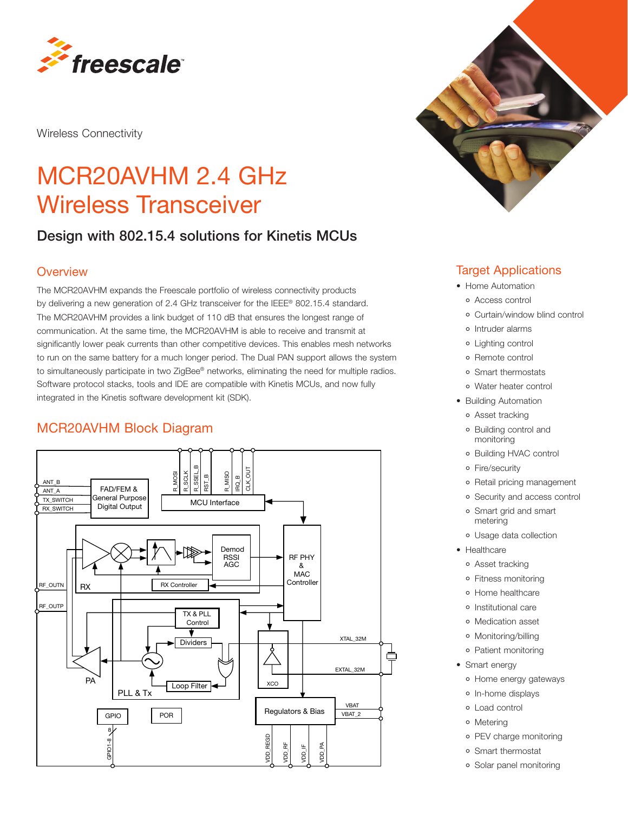

Wireless Connectivity

# MCR20AVHM 2.4 GHz Wireless Transceiver

## Design with 802.15.4 solutions for Kinetis MCUs

#### **Overview**

The MCR20AVHM expands the Freescale portfolio of wireless connectivity products by delivering a new generation of 2.4 GHz transceiver for the IEEE® 802.15.4 standard. The MCR20AVHM provides a link budget of 110 dB that ensures the longest range of communication. At the same time, the MCR20AVHM is able to receive and transmit at significantly lower peak currents than other competitive devices. This enables mesh networks to run on the same battery for a much longer period. The Dual PAN support allows the system to simultaneously participate in two ZigBee® networks, eliminating the need for multiple radios. Software protocol stacks, tools and IDE are compatible with Kinetis MCUs, and now fully integrated in the Kinetis software development kit (SDK).

### MCR20AVHM Block Diagram





#### Target Applications

- Home Automation
	- Access control
	- Curtain/window blind control
	- o Intruder alarms
	- Lighting control
	- Remote control
	- Smart thermostats
	- Water heater control
- Building Automation
	- Asset tracking
	- Building control and monitoring
	- Building HVAC control
	- Fire/security
	- o Retail pricing management
	- Security and access control
	- Smart grid and smart metering
	- Usage data collection
- Healthcare
	- Asset tracking
	- Fitness monitoring
	- Home healthcare
	- o Institutional care
	- Medication asset
	- Monitoring/billing
	- Patient monitoring
- Smart energy
	- Home energy gateways
	- o In-home displays
	- Load control
	- Metering
	- o PEV charge monitoring
	- Smart thermostat
	- Solar panel monitoring